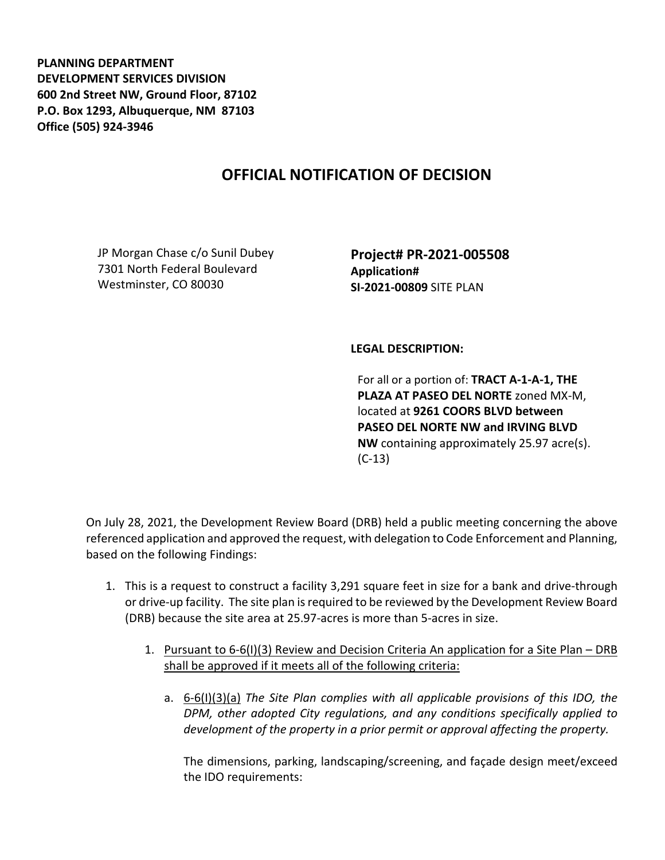**PLANNING DEPARTMENT DEVELOPMENT SERVICES DIVISION 600 2nd Street NW, Ground Floor, 87102 P.O. Box 1293, Albuquerque, NM 87103 Office (505) 924-3946** 

## **OFFICIAL NOTIFICATION OF DECISION**

JP Morgan Chase c/o Sunil Dubey 7301 North Federal Boulevard Westminster, CO 80030

**Project# PR-2021-005508 Application# SI-2021-00809** SITE PLAN

## **LEGAL DESCRIPTION:**

For all or a portion of: **TRACT A-1-A-1, THE PLAZA AT PASEO DEL NORTE** zoned MX-M, located at **9261 COORS BLVD between PASEO DEL NORTE NW and IRVING BLVD NW** containing approximately 25.97 acre(s). (C-13)

On July 28, 2021, the Development Review Board (DRB) held a public meeting concerning the above referenced application and approved the request, with delegation to Code Enforcement and Planning, based on the following Findings:

- 1. This is a request to construct a facility 3,291 square feet in size for a bank and drive-through or drive-up facility. The site plan is required to be reviewed by the Development Review Board (DRB) because the site area at 25.97-acres is more than 5-acres in size.
	- 1. Pursuant to 6-6(I)(3) Review and Decision Criteria An application for a Site Plan DRB shall be approved if it meets all of the following criteria:
		- a. 6-6(I)(3)(a) *The Site Plan complies with all applicable provisions of this IDO, the DPM, other adopted City regulations, and any conditions specifically applied to development of the property in a prior permit or approval affecting the property.*

The dimensions, parking, landscaping/screening, and façade design meet/exceed the IDO requirements: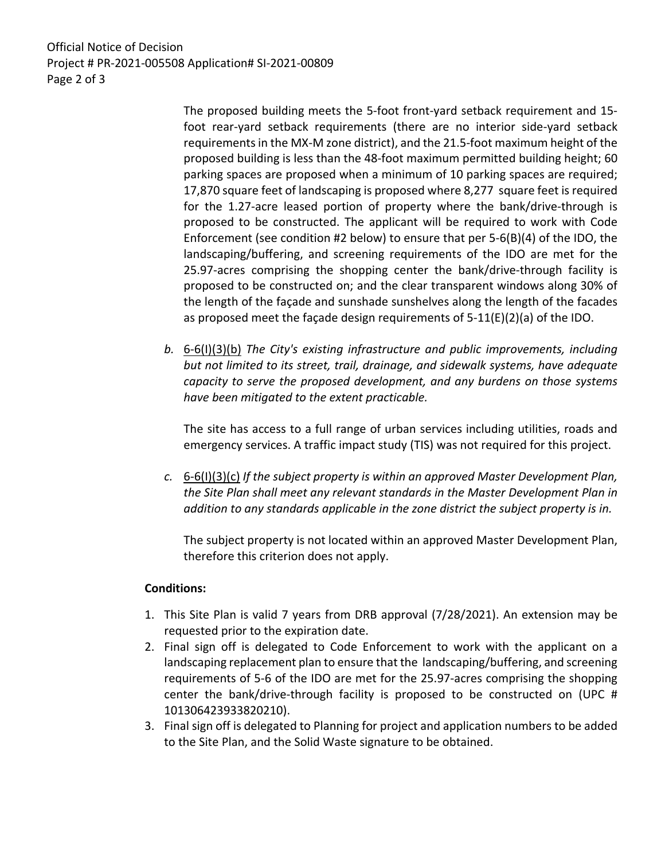Official Notice of Decision Project # PR-2021-005508 Application# SI-2021-00809 Page 2 of 3

> The proposed building meets the 5-foot front-yard setback requirement and 15 foot rear-yard setback requirements (there are no interior side-yard setback requirements in the MX-M zone district), and the 21.5-foot maximum height of the proposed building is less than the 48-foot maximum permitted building height; 60 parking spaces are proposed when a minimum of 10 parking spaces are required; 17,870 square feet of landscaping is proposed where 8,277 square feet is required for the 1.27-acre leased portion of property where the bank/drive-through is proposed to be constructed. The applicant will be required to work with Code Enforcement (see condition #2 below) to ensure that per 5-6(B)(4) of the IDO, the landscaping/buffering, and screening requirements of the IDO are met for the 25.97-acres comprising the shopping center the bank/drive-through facility is proposed to be constructed on; and the clear transparent windows along 30% of the length of the façade and sunshade sunshelves along the length of the facades as proposed meet the façade design requirements of  $5-11(E)(2)(a)$  of the IDO.

*b.* 6-6(I)(3)(b) *The City's existing infrastructure and public improvements, including but not limited to its street, trail, drainage, and sidewalk systems, have adequate capacity to serve the proposed development, and any burdens on those systems have been mitigated to the extent practicable.* 

The site has access to a full range of urban services including utilities, roads and emergency services. A traffic impact study (TIS) was not required for this project.

*c.* 6-6(I)(3)(c) *If the subject property is within an approved Master Development Plan, the Site Plan shall meet any relevant standards in the Master Development Plan in addition to any standards applicable in the zone district the subject property is in.*

The subject property is not located within an approved Master Development Plan, therefore this criterion does not apply.

## **Conditions:**

- 1. This Site Plan is valid 7 years from DRB approval (7/28/2021). An extension may be requested prior to the expiration date.
- 2. Final sign off is delegated to Code Enforcement to work with the applicant on a landscaping replacement plan to ensure that the landscaping/buffering, and screening requirements of 5-6 of the IDO are met for the 25.97-acres comprising the shopping center the bank/drive-through facility is proposed to be constructed on (UPC # 101306423933820210).
- 3. Final sign off is delegated to Planning for project and application numbers to be added to the Site Plan, and the Solid Waste signature to be obtained.